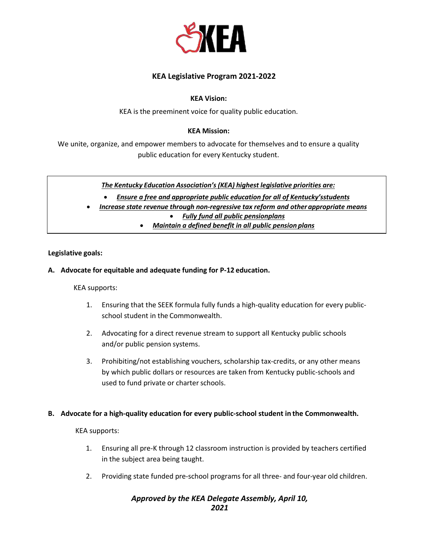

# **KEA Legislative Program 2021-2022**

#### **KEA Vision:**

KEA is the preeminent voice for quality public education.

#### **KEA Mission:**

We unite, organize, and empower members to advocate for themselves and to ensure a quality public education for every Kentucky student.

*The Kentucky Education Association's (KEA) highest legislative priorities are:*

• *Ensure a free and appropriate public education for all of Kentucky'sstudents*

- *Increase state revenue through non-regressive tax reform and other appropriate means* • *Fully fund all public pensionplans*
	- *Maintain a defined benefit in all public pension plans*

### **Legislative goals:**

### **A. Advocate for equitable and adequate funding for P-12 education.**

#### KEA supports:

- 1. Ensuring that the SEEK formula fully funds a high-quality education for every publicschool student in the Commonwealth.
- 2. Advocating for a direct revenue stream to support all Kentucky public schools and/or public pension systems.
- 3. Prohibiting/not establishing vouchers, scholarship tax-credits, or any other means by which public dollars or resources are taken from Kentucky public-schools and used to fund private or charter schools.

# **B. Advocate for a high-quality education for every public-school student in the Commonwealth.**

KEA supports:

- 1. Ensuring all pre-K through 12 classroom instruction is provided by teachers certified in the subject area being taught.
- 2. Providing state funded pre-school programs for all three- and four-year old children.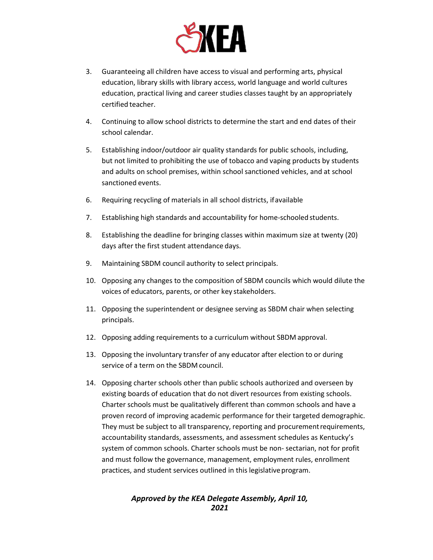

- 3. Guaranteeing all children have access to visual and performing arts, physical education, library skills with library access, world language and world cultures education, practical living and career studies classes taught by an appropriately certified teacher.
- 4. Continuing to allow school districts to determine the start and end dates of their school calendar.
- 5. Establishing indoor/outdoor air quality standards for public schools, including, but not limited to prohibiting the use of tobacco and vaping products by students and adults on school premises, within school sanctioned vehicles, and at school sanctioned events.
- 6. Requiring recycling of materials in all school districts, ifavailable
- 7. Establishing high standards and accountability for home-schooled students.
- 8. Establishing the deadline for bringing classes within maximum size at twenty (20) days after the first student attendance days.
- 9. Maintaining SBDM council authority to select principals.
- 10. Opposing any changes to the composition of SBDM councils which would dilute the voices of educators, parents, or other key stakeholders.
- 11. Opposing the superintendent or designee serving as SBDM chair when selecting principals.
- 12. Opposing adding requirements to a curriculum without SBDM approval.
- 13. Opposing the involuntary transfer of any educator after election to or during service of a term on the SBDM council.
- 14. Opposing charter schools other than public schools authorized and overseen by existing boards of education that do not divert resources from existing schools. Charter schools must be qualitatively different than common schools and have a proven record of improving academic performance for their targeted demographic. They must be subject to all transparency, reporting and procurement requirements, accountability standards, assessments, and assessment schedules as Kentucky's system of common schools. Charter schools must be non- sectarian, not for profit and must follow the governance, management, employment rules, enrollment practices, and student services outlined in this legislativeprogram.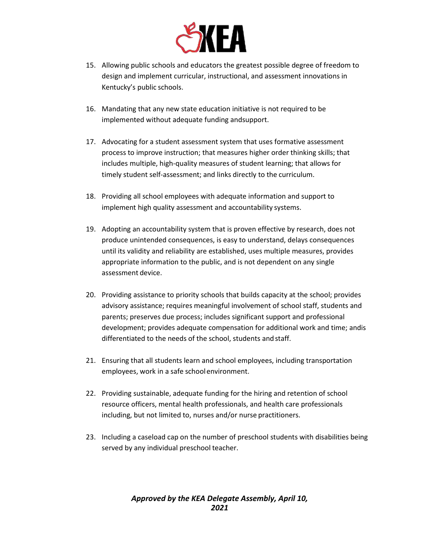

- 15. Allowing public schools and educators the greatest possible degree of freedom to design and implement curricular, instructional, and assessment innovations in Kentucky's public schools.
- 16. Mandating that any new state education initiative is not required to be implemented without adequate funding andsupport.
- 17. Advocating for a student assessment system that uses formative assessment process to improve instruction; that measures higher order thinking skills; that includes multiple, high-quality measures of student learning; that allows for timely student self-assessment; and links directly to the curriculum.
- 18. Providing all school employees with adequate information and support to implement high quality assessment and accountability systems.
- 19. Adopting an accountability system that is proven effective by research, does not produce unintended consequences, is easy to understand, delays consequences until its validity and reliability are established, uses multiple measures, provides appropriate information to the public, and is not dependent on any single assessment device.
- 20. Providing assistance to priority schools that builds capacity at the school; provides advisory assistance; requires meaningful involvement of school staff, students and parents; preserves due process; includes significant support and professional development; provides adequate compensation for additional work and time; andis differentiated to the needs of the school, students and staff.
- 21. Ensuring that all students learn and school employees, including transportation employees, work in a safe schoolenvironment.
- 22. Providing sustainable, adequate funding for the hiring and retention of school resource officers, mental health professionals, and health care professionals including, but not limited to, nurses and/or nurse practitioners.
- 23. Including a caseload cap on the number of preschool students with disabilities being served by any individual preschool teacher.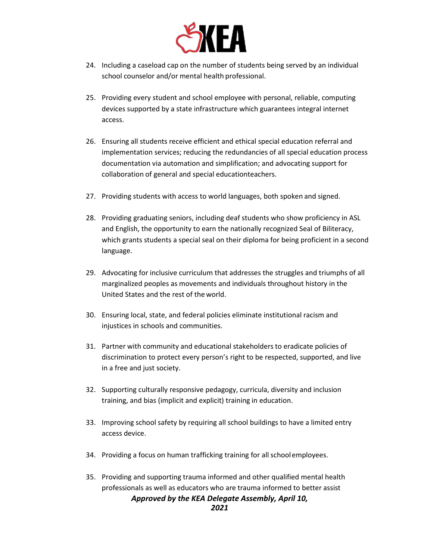

- 24. Including a caseload cap on the number of students being served by an individual school counselor and/or mental health professional.
- 25. Providing every student and school employee with personal, reliable, computing devices supported by a state infrastructure which guarantees integral internet access.
- 26. Ensuring all students receive efficient and ethical special education referral and implementation services; reducing the redundancies of all special education process documentation via automation and simplification; and advocating support for collaboration of general and special educationteachers.
- 27. Providing students with access to world languages, both spoken and signed.
- 28. Providing graduating seniors, including deaf students who show proficiency in ASL and English, the opportunity to earn the nationally recognized Seal of Biliteracy, which grants students a special seal on their diploma for being proficient in a second language.
- 29. Advocating for inclusive curriculum that addresses the struggles and triumphs of all marginalized peoples as movements and individuals throughout history in the United States and the rest of the world.
- 30. Ensuring local, state, and federal policies eliminate institutional racism and injustices in schools and communities.
- 31. Partner with community and educational stakeholders to eradicate policies of discrimination to protect every person's right to be respected, supported, and live in a free and just society.
- 32. Supporting culturally responsive pedagogy, curricula, diversity and inclusion training, and bias (implicit and explicit) training in education.
- 33. Improving school safety by requiring all school buildings to have a limited entry access device.
- 34. Providing a focus on human trafficking training for all schoolemployees.
- *Approved by the KEA Delegate Assembly, April 10,* 35. Providing and supporting trauma informed and other qualified mental health professionals as well as educators who are trauma informed to better assist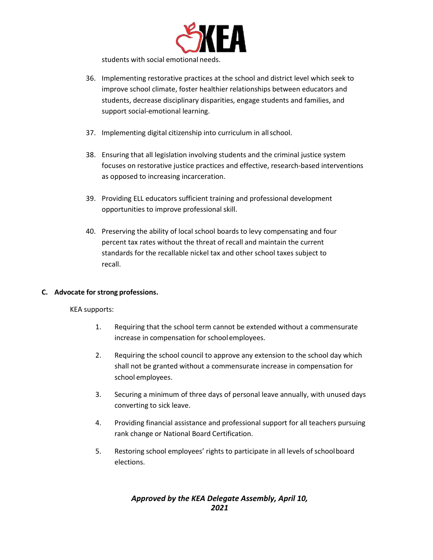

students with social emotional needs.

- 36. Implementing restorative practices at the school and district level which seek to improve school climate, foster healthier relationships between educators and students, decrease disciplinary disparities, engage students and families, and support social-emotional learning.
- 37. Implementing digital citizenship into curriculum in allschool.
- 38. Ensuring that all legislation involving students and the criminal justice system focuses on restorative justice practices and effective, research-based interventions as opposed to increasing incarceration.
- 39. Providing ELL educators sufficient training and professional development opportunities to improve professional skill.
- 40. Preserving the ability of local school boards to levy compensating and four percent tax rates without the threat of recall and maintain the current standards for the recallable nickel tax and other school taxes subject to recall.

#### **C. Advocate for strong professions.**

KEA supports:

- 1. Requiring that the school term cannot be extended without a commensurate increase in compensation for schoolemployees.
- 2. Requiring the school council to approve any extension to the school day which shall not be granted without a commensurate increase in compensation for school employees.
- 3. Securing a minimum of three days of personal leave annually, with unused days converting to sick leave.
- 4. Providing financial assistance and professional support for all teachers pursuing rank change or National Board Certification.
- 5. Restoring school employees' rights to participate in all levels of schoolboard elections.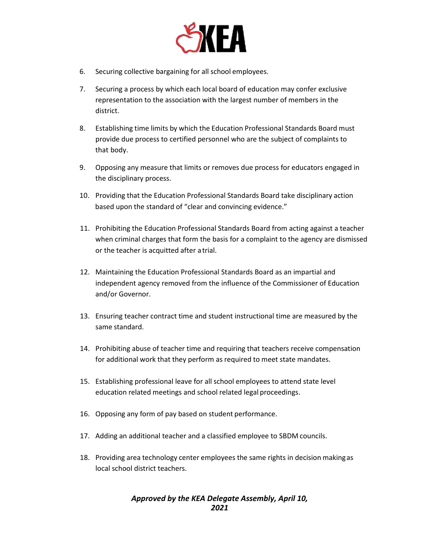

- 6. Securing collective bargaining for all school employees.
- 7. Securing a process by which each local board of education may confer exclusive representation to the association with the largest number of members in the district.
- 8. Establishing time limits by which the Education Professional Standards Board must provide due process to certified personnel who are the subject of complaints to that body.
- 9. Opposing any measure that limits or removes due process for educators engaged in the disciplinary process.
- 10. Providing that the Education Professional Standards Board take disciplinary action based upon the standard of "clear and convincing evidence."
- 11. Prohibiting the Education Professional Standards Board from acting against a teacher when criminal charges that form the basis for a complaint to the agency are dismissed or the teacher is acquitted after atrial.
- 12. Maintaining the Education Professional Standards Board as an impartial and independent agency removed from the influence of the Commissioner of Education and/or Governor.
- 13. Ensuring teacher contract time and student instructional time are measured by the same standard.
- 14. Prohibiting abuse of teacher time and requiring that teachers receive compensation for additional work that they perform as required to meet state mandates.
- 15. Establishing professional leave for all school employees to attend state level education related meetings and school related legal proceedings.
- 16. Opposing any form of pay based on student performance.
- 17. Adding an additional teacher and a classified employee to SBDM councils.
- 18. Providing area technology center employees the same rights in decision makingas local school district teachers.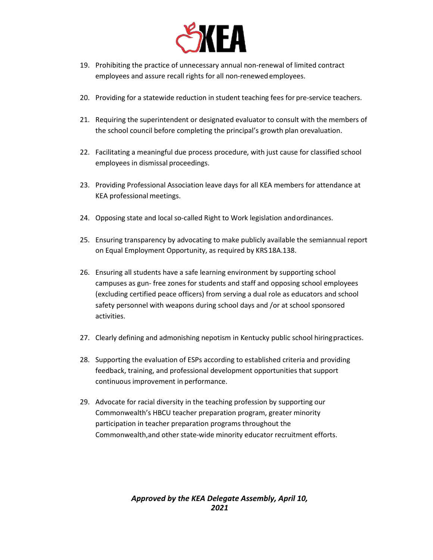

- 19. Prohibiting the practice of unnecessary annual non-renewal of limited contract employees and assure recall rights for all non-renewedemployees.
- 20. Providing for a statewide reduction in student teaching fees for pre-service teachers.
- 21. Requiring the superintendent or designated evaluator to consult with the members of the school council before completing the principal's growth plan orevaluation.
- 22. Facilitating a meaningful due process procedure, with just cause for classified school employees in dismissal proceedings.
- 23. Providing Professional Association leave days for all KEA members for attendance at KEA professional meetings.
- 24. Opposing state and local so-called Right to Work legislation andordinances.
- 25. Ensuring transparency by advocating to make publicly available the semiannual report on Equal Employment Opportunity, as required by KRS18A.138.
- 26. Ensuring all students have a safe learning environment by supporting school campuses as gun- free zones for students and staff and opposing school employees (excluding certified peace officers) from serving a dual role as educators and school safety personnel with weapons during school days and /or at school sponsored activities.
- 27. Clearly defining and admonishing nepotism in Kentucky public school hiringpractices.
- 28. Supporting the evaluation of ESPs according to established criteria and providing feedback, training, and professional development opportunities that support continuous improvement in performance.
- 29. Advocate for racial diversity in the teaching profession by supporting our Commonwealth's HBCU teacher preparation program, greater minority participation in teacher preparation programs throughout the Commonwealth,and other state-wide minority educator recruitment efforts.